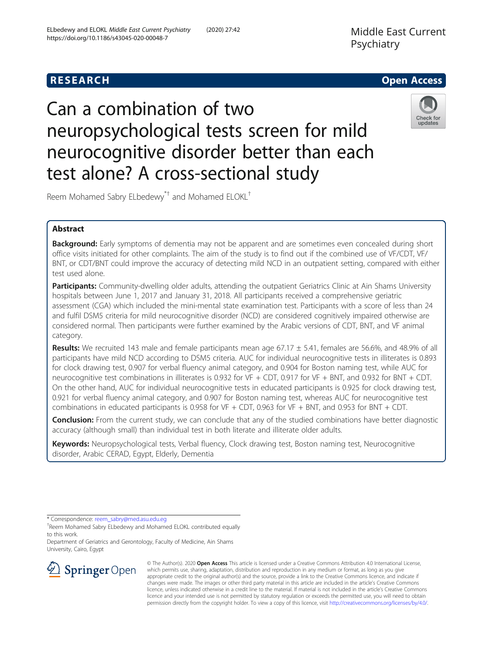

# Can a combination of two neuropsychological tests screen for mild neurocognitive disorder better than each test alone? A cross-sectional study



Reem Mohamed Sabry ELbedewy\*† and Mohamed ELOKL†

# Abstract

**Background:** Early symptoms of dementia may not be apparent and are sometimes even concealed during short office visits initiated for other complaints. The aim of the study is to find out if the combined use of VF/CDT, VF/ BNT, or CDT/BNT could improve the accuracy of detecting mild NCD in an outpatient setting, compared with either test used alone.

Participants: Community-dwelling older adults, attending the outpatient Geriatrics Clinic at Ain Shams University hospitals between June 1, 2017 and January 31, 2018. All participants received a comprehensive geriatric assessment (CGA) which included the mini-mental state examination test. Participants with a score of less than 24 and fulfil DSM5 criteria for mild neurocognitive disorder (NCD) are considered cognitively impaired otherwise are considered normal. Then participants were further examined by the Arabic versions of CDT, BNT, and VF animal category.

**Results:** We recruited 143 male and female participants mean age 67.17  $\pm$  5.41, females are 56.6%, and 48.9% of all participants have mild NCD according to DSM5 criteria. AUC for individual neurocognitive tests in illiterates is 0.893 for clock drawing test, 0.907 for verbal fluency animal category, and 0.904 for Boston naming test, while AUC for neurocognitive test combinations in illiterates is 0.932 for VF + CDT, 0.917 for VF + BNT, and 0.932 for BNT + CDT. On the other hand, AUC for individual neurocognitive tests in educated participants is 0.925 for clock drawing test, 0.921 for verbal fluency animal category, and 0.907 for Boston naming test, whereas AUC for neurocognitive test combinations in educated participants is 0.958 for VF + CDT, 0.963 for VF + BNT, and 0.953 for BNT + CDT.

**Conclusion:** From the current study, we can conclude that any of the studied combinations have better diagnostic accuracy (although small) than individual test in both literate and illiterate older adults.

Keywords: Neuropsychological tests, Verbal fluency, Clock drawing test, Boston naming test, Neurocognitive disorder, Arabic CERAD, Egypt, Elderly, Dementia

\* Correspondence: [reem\\_sabry@med.asu.edu.eg](mailto:reem_sabry@med.asu.edu.eg) †

Department of Geriatrics and Gerontology, Faculty of Medicine, Ain Shams University, Cairo, Egypt



© The Author(s). 2020 Open Access This article is licensed under a Creative Commons Attribution 4.0 International License, which permits use, sharing, adaptation, distribution and reproduction in any medium or format, as long as you give appropriate credit to the original author(s) and the source, provide a link to the Creative Commons licence, and indicate if changes were made. The images or other third party material in this article are included in the article's Creative Commons licence, unless indicated otherwise in a credit line to the material. If material is not included in the article's Creative Commons licence and your intended use is not permitted by statutory regulation or exceeds the permitted use, you will need to obtain permission directly from the copyright holder. To view a copy of this licence, visit <http://creativecommons.org/licenses/by/4.0/>.

<sup>&</sup>lt;sup>+</sup>Reem Mohamed Sabry ELbedewy and Mohamed ELOKL contributed equally to this work.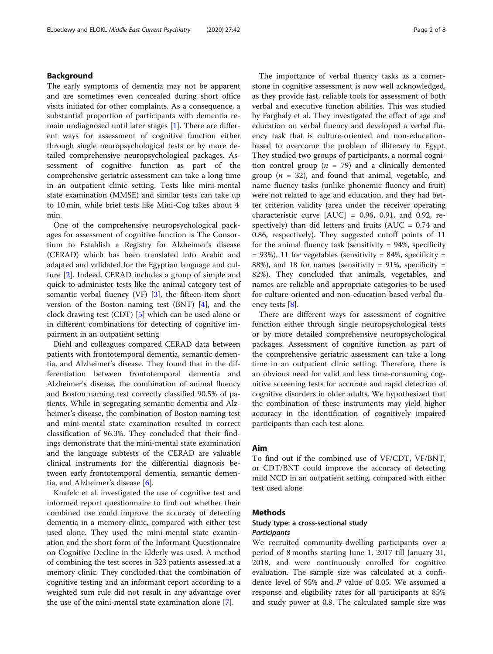# Background

The early symptoms of dementia may not be apparent and are sometimes even concealed during short office visits initiated for other complaints. As a consequence, a substantial proportion of participants with dementia remain undiagnosed until later stages [\[1\]](#page-7-0). There are different ways for assessment of cognitive function either through single neuropsychological tests or by more detailed comprehensive neuropsychological packages. Assessment of cognitive function as part of the comprehensive geriatric assessment can take a long time in an outpatient clinic setting. Tests like mini-mental state examination (MMSE) and similar tests can take up to 10 min, while brief tests like Mini-Cog takes about 4 min.

One of the comprehensive neuropsychological packages for assessment of cognitive function is The Consortium to Establish a Registry for Alzheimer's disease (CERAD) which has been translated into Arabic and adapted and validated for the Egyptian language and culture [[2\]](#page-7-0). Indeed, CERAD includes a group of simple and quick to administer tests like the animal category test of semantic verbal fluency (VF) [[3\]](#page-7-0), the fifteen-item short version of the Boston naming test (BNT) [[4\]](#page-7-0), and the clock drawing test (CDT) [\[5](#page-7-0)] which can be used alone or in different combinations for detecting of cognitive impairment in an outpatient setting

Diehl and colleagues compared CERAD data between patients with frontotemporal dementia, semantic dementia, and Alzheimer's disease. They found that in the differentiation between frontotemporal dementia and Alzheimer's disease, the combination of animal fluency and Boston naming test correctly classified 90.5% of patients. While in segregating semantic dementia and Alzheimer's disease, the combination of Boston naming test and mini-mental state examination resulted in correct classification of 96.3%. They concluded that their findings demonstrate that the mini-mental state examination and the language subtests of the CERAD are valuable clinical instruments for the differential diagnosis between early frontotemporal dementia, semantic dementia, and Alzheimer's disease [[6](#page-7-0)].

Knafelc et al. investigated the use of cognitive test and informed report questionnaire to find out whether their combined use could improve the accuracy of detecting dementia in a memory clinic, compared with either test used alone. They used the mini-mental state examination and the short form of the Informant Questionnaire on Cognitive Decline in the Elderly was used. A method of combining the test scores in 323 patients assessed at a memory clinic. They concluded that the combination of cognitive testing and an informant report according to a weighted sum rule did not result in any advantage over the use of the mini-mental state examination alone [\[7](#page-7-0)].

The importance of verbal fluency tasks as a cornerstone in cognitive assessment is now well acknowledged, as they provide fast, reliable tools for assessment of both verbal and executive function abilities. This was studied by Farghaly et al. They investigated the effect of age and education on verbal fluency and developed a verbal fluency task that is culture-oriented and non-educationbased to overcome the problem of illiteracy in Egypt. They studied two groups of participants, a normal cognition control group ( $n = 79$ ) and a clinically demented group ( $n = 32$ ), and found that animal, vegetable, and name fluency tasks (unlike phonemic fluency and fruit) were not related to age and education, and they had better criterion validity (area under the receiver operating characteristic curve  $[AUC] = 0.96, 0.91,$  and 0.92, respectively) than did letters and fruits ( $AUC = 0.74$  and 0.86, respectively). They suggested cutoff points of 11 for the animal fluency task (sensitivity  $= 94\%$ , specificity  $= 93\%$ ), 11 for vegetables (sensitivity  $= 84\%$ , specificity  $=$ 88%), and 18 for names (sensitivity =  $91\%$ , specificity = 82%). They concluded that animals, vegetables, and names are reliable and appropriate categories to be used for culture-oriented and non-education-based verbal fluency tests [[8\]](#page-7-0).

There are different ways for assessment of cognitive function either through single neuropsychological tests or by more detailed comprehensive neuropsychological packages. Assessment of cognitive function as part of the comprehensive geriatric assessment can take a long time in an outpatient clinic setting. Therefore, there is an obvious need for valid and less time-consuming cognitive screening tests for accurate and rapid detection of cognitive disorders in older adults. We hypothesized that the combination of these instruments may yield higher accuracy in the identification of cognitively impaired participants than each test alone.

#### Aim

To find out if the combined use of VF/CDT, VF/BNT, or CDT/BNT could improve the accuracy of detecting mild NCD in an outpatient setting, compared with either test used alone

## Methods

# Study type: a cross-sectional study **Participants**

We recruited community-dwelling participants over a period of 8 months starting June 1, 2017 till January 31, 2018, and were continuously enrolled for cognitive evaluation. The sample size was calculated at a confidence level of 95% and P value of 0.05. We assumed a response and eligibility rates for all participants at 85% and study power at 0.8. The calculated sample size was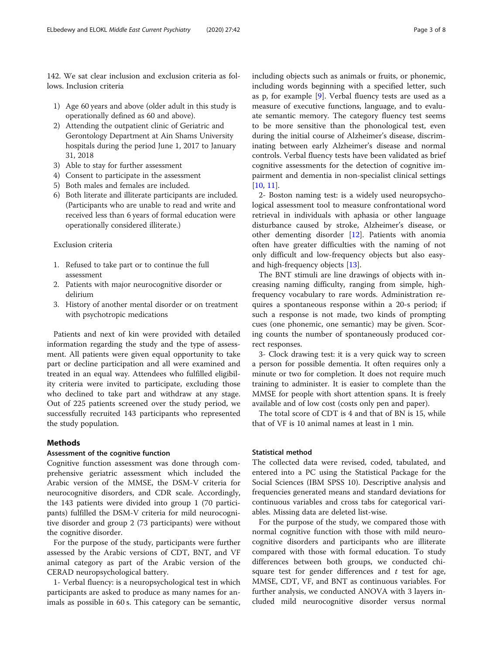142. We sat clear inclusion and exclusion criteria as follows. Inclusion criteria

- 1) Age 60 years and above (older adult in this study is operationally defined as 60 and above).
- 2) Attending the outpatient clinic of Geriatric and Gerontology Department at Ain Shams University hospitals during the period June 1, 2017 to January 31, 2018
- 3) Able to stay for further assessment
- 4) Consent to participate in the assessment
- 5) Both males and females are included.
- 6) Both literate and illiterate participants are included. (Participants who are unable to read and write and received less than 6 years of formal education were operationally considered illiterate.)

# Exclusion criteria

- 1. Refused to take part or to continue the full assessment
- 2. Patients with major neurocognitive disorder or delirium
- 3. History of another mental disorder or on treatment with psychotropic medications

Patients and next of kin were provided with detailed information regarding the study and the type of assessment. All patients were given equal opportunity to take part or decline participation and all were examined and treated in an equal way. Attendees who fulfilled eligibility criteria were invited to participate, excluding those who declined to take part and withdraw at any stage. Out of 225 patients screened over the study period, we successfully recruited 143 participants who represented the study population.

# Methods

#### Assessment of the cognitive function

Cognitive function assessment was done through comprehensive geriatric assessment which included the Arabic version of the MMSE, the DSM-V criteria for neurocognitive disorders, and CDR scale. Accordingly, the 143 patients were divided into group 1 (70 participants) fulfilled the DSM-V criteria for mild neurocognitive disorder and group 2 (73 participants) were without the cognitive disorder.

For the purpose of the study, participants were further assessed by the Arabic versions of CDT, BNT, and VF animal category as part of the Arabic version of the CERAD neuropsychological battery.

1- Verbal fluency: is a neuropsychological test in which participants are asked to produce as many names for animals as possible in 60 s. This category can be semantic, including objects such as animals or fruits, or phonemic, including words beginning with a specified letter, such as p, for example [[9\]](#page-7-0). Verbal fluency tests are used as a measure of executive functions, language, and to evaluate semantic memory. The category fluency test seems to be more sensitive than the phonological test, even during the initial course of Alzheimer's disease, discriminating between early Alzheimer's disease and normal controls. Verbal fluency tests have been validated as brief cognitive assessments for the detection of cognitive impairment and dementia in non-specialist clinical settings [[10,](#page-7-0) [11\]](#page-7-0).

2- Boston naming test: is a widely used neuropsychological assessment tool to measure confrontational word retrieval in individuals with aphasia or other language disturbance caused by stroke, Alzheimer's disease, or other dementing disorder [[12\]](#page-7-0). Patients with anomia often have greater difficulties with the naming of not only difficult and low-frequency objects but also easyand high-frequency objects [[13\]](#page-7-0).

The BNT stimuli are line drawings of objects with increasing naming difficulty, ranging from simple, highfrequency vocabulary to rare words. Administration requires a spontaneous response within a 20-s period; if such a response is not made, two kinds of prompting cues (one phonemic, one semantic) may be given. Scoring counts the number of spontaneously produced correct responses.

3- Clock drawing test: it is a very quick way to screen a person for possible dementia. It often requires only a minute or two for completion. It does not require much training to administer. It is easier to complete than the MMSE for people with short attention spans. It is freely available and of low cost (costs only pen and paper).

The total score of CDT is 4 and that of BN is 15, while that of VF is 10 animal names at least in 1 min.

# Statistical method

The collected data were revised, coded, tabulated, and entered into a PC using the Statistical Package for the Social Sciences (IBM SPSS 10). Descriptive analysis and frequencies generated means and standard deviations for continuous variables and cross tabs for categorical variables. Missing data are deleted list-wise.

For the purpose of the study, we compared those with normal cognitive function with those with mild neurocognitive disorders and participants who are illiterate compared with those with formal education. To study differences between both groups, we conducted chisquare test for gender differences and  $t$  test for age, MMSE, CDT, VF, and BNT as continuous variables. For further analysis, we conducted ANOVA with 3 layers included mild neurocognitive disorder versus normal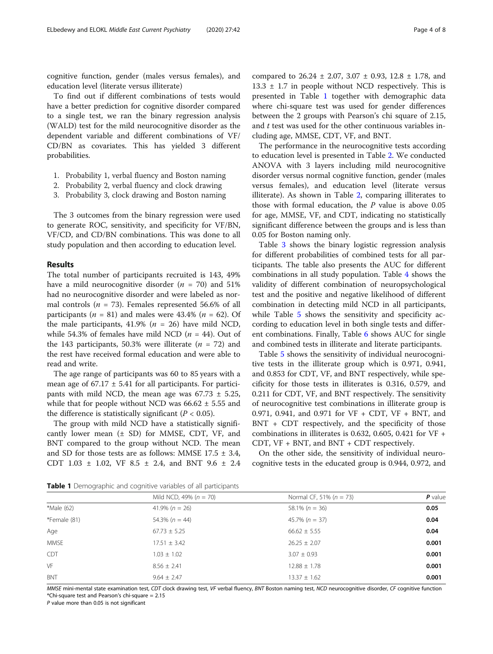cognitive function, gender (males versus females), and education level (literate versus illiterate)

To find out if different combinations of tests would have a better prediction for cognitive disorder compared to a single test, we ran the binary regression analysis (WALD) test for the mild neurocognitive disorder as the dependent variable and different combinations of VF/ CD/BN as covariates. This has yielded 3 different probabilities.

- 1. Probability 1, verbal fluency and Boston naming
- 2. Probability 2, verbal fluency and clock drawing
- 3. Probability 3, clock drawing and Boston naming

The 3 outcomes from the binary regression were used to generate ROC, sensitivity, and specificity for VF/BN, VF/CD, and CD/BN combinations. This was done to all study population and then according to education level.

#### Results

The total number of participants recruited is 143, 49% have a mild neurocognitive disorder  $(n = 70)$  and 51% had no neurocognitive disorder and were labeled as normal controls ( $n = 73$ ). Females represented 56.6% of all participants ( $n = 81$ ) and males were 43.4% ( $n = 62$ ). Of the male participants, 41.9% ( $n = 26$ ) have mild NCD, while 54.3% of females have mild NCD ( $n = 44$ ). Out of the 143 participants, 50.3% were illiterate  $(n = 72)$  and the rest have received formal education and were able to read and write.

The age range of participants was 60 to 85 years with a mean age of  $67.17 \pm 5.41$  for all participants. For participants with mild NCD, the mean age was  $67.73 \pm 5.25$ , while that for people without NCD was  $66.62 \pm 5.55$  and the difference is statistically significant ( $P < 0.05$ ).

The group with mild NCD have a statistically significantly lower mean  $(\pm$  SD) for MMSE, CDT, VF, and BNT compared to the group without NCD. The mean and SD for those tests are as follows: MMSE  $17.5 \pm 3.4$ , CDT 1.03 ± 1.02, VF 8.5 ± 2.4, and BNT 9.6 ± 2.4 compared to 26.24 ± 2.07, 3.07 ± 0.93, 12.8 ± 1.78, and  $13.3 \pm 1.7$  in people without NCD respectively. This is presented in Table 1 together with demographic data where chi-square test was used for gender differences between the 2 groups with Pearson's chi square of 2.15, and t test was used for the other continuous variables including age, MMSE, CDT, VF, and BNT.

The performance in the neurocognitive tests according to education level is presented in Table [2.](#page-4-0) We conducted ANOVA with 3 layers including mild neurocognitive disorder versus normal cognitive function, gender (males versus females), and education level (literate versus illiterate). As shown in Table [2,](#page-4-0) comparing illiterates to those with formal education, the  $P$  value is above 0.05 for age, MMSE, VF, and CDT, indicating no statistically significant difference between the groups and is less than 0.05 for Boston naming only.

Table [3](#page-4-0) shows the binary logistic regression analysis for different probabilities of combined tests for all participants. The table also presents the AUC for different combinations in all study population. Table [4](#page-5-0) shows the validity of different combination of neuropsychological test and the positive and negative likelihood of different combination in detecting mild NCD in all participants, while Table [5](#page-5-0) shows the sensitivity and specificity according to education level in both single tests and different combinations. Finally, Table [6](#page-5-0) shows AUC for single and combined tests in illiterate and literate participants.

Table [5](#page-5-0) shows the sensitivity of individual neurocognitive tests in the illiterate group which is 0.971, 0.941, and 0.853 for CDT, VF, and BNT respectively, while specificity for those tests in illiterates is 0.316, 0.579, and 0.211 for CDT, VF, and BNT respectively. The sensitivity of neurocognitive test combinations in illiterate group is 0.971, 0.941, and 0.971 for VF + CDT, VF + BNT, and BNT + CDT respectively, and the specificity of those combinations in illiterates is 0.632, 0.605, 0.421 for  $VF +$ CDT, VF + BNT, and BNT + CDT respectively.

On the other side, the sensitivity of individual neurocognitive tests in the educated group is 0.944, 0.972, and

Mild NCD, 49% ( $n = 70$ ) Normal CF, 51% ( $n = 73$ ) **P** value

Table 1 Demographic and cognitive variables of all participants

BNT 9.64  $\pm$  2.47 **1**3.37  $\pm$  1.62 **0.001** MMSE mini-mental state examination test, CDT clock drawing test, VF verbal fluency, BNT Boston naming test, NCD neurocognitive disorder, CF cognitive function \*Chi-square test and Pearson's chi-square = 2.15

\*Male (62) **1.4.9% (n = 26)** 41.9% (n = 26) 58.1% (n = 36) **0.05** \*Female (81) 60.04 54.3% (n = 44) 6.04 54.3% (n = 44) 6.04 Age 67.73 ± 5.25 67.73 ± 5.25 66.62 ± 5.55 6.04 66.62 + 5.55 6.04 MMSE **17.51**  $\pm$  3.42 **26.25**  $\pm$  2.07 **0.001 0.001** CDT 1.03  $\pm$  1.02 3.07  $\pm$  0.93 0.001  $V$ F 2.41  $8.56 \pm 2.41$   $12.88 \pm 1.78$   $0.001$ 

P value more than 0.05 is not significant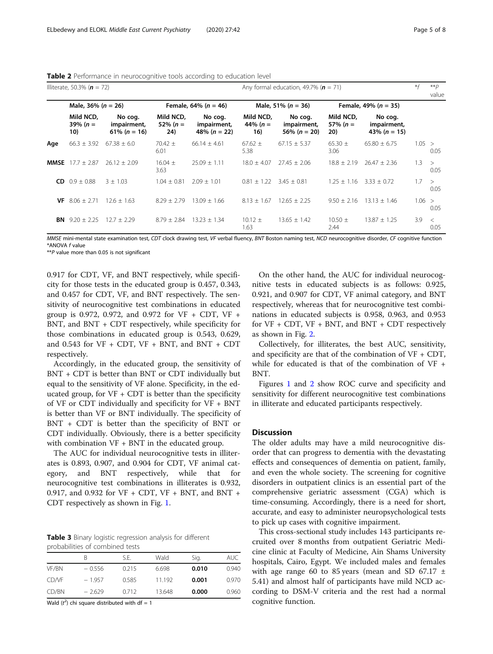<span id="page-4-0"></span>

| <b>Table 2</b> Performance in neurocognitive tools according to education level |  |  |
|---------------------------------------------------------------------------------|--|--|
|                                                                                 |  |  |

|      | Illiterate, 50.3% ( $n = 72$ )  |                                            | Any formal education, 49.7% ( $n = 71$ ) |                                          |                                 |                                            |                                 |                                            | $* f$ | $* p$<br>value  |
|------|---------------------------------|--------------------------------------------|------------------------------------------|------------------------------------------|---------------------------------|--------------------------------------------|---------------------------------|--------------------------------------------|-------|-----------------|
|      | Male, 36% ( $n = 26$ )          |                                            | Female, 64% ( $n = 46$ )                 |                                          | Male, 51% ( $n = 36$ )          |                                            | Female, 49% ( $n = 35$ )        |                                            |       |                 |
|      | Mild NCD,<br>39% ( $n =$<br>10) | No coq.<br>impairment,<br>61% ( $n = 16$ ) | Mild NCD,<br>52% ( $n =$<br>24)          | No cog.<br>impairment,<br>48% $(n = 22)$ | Mild NCD,<br>44% ( $n =$<br>16) | No cog.<br>impairment,<br>56% ( $n = 20$ ) | Mild NCD,<br>57% ( $n =$<br>20) | No cog.<br>impairment,<br>43% ( $n = 15$ ) |       |                 |
| Age  | $66.3 \pm 3.92$                 | $67.38 \pm 6.0$                            | $70.42 \pm$<br>6.01                      | $66.14 \pm 4.61$                         | $67.62 \pm$<br>5.38             | $67.15 \pm 5.37$                           | $65.30 \pm$<br>3.06             | $65.80 \pm 6.75$                           | 1.05  | $\geq$<br>0.05  |
| MMSE | $17.7 + 2.87$                   | $26.12 + 2.09$                             | $16.04 \pm$<br>3.63                      | $25.09 \pm 1.11$                         | $18.0 + 4.07$                   | $27.45 \pm 2.06$                           | $18.8 \pm 2.19$                 | $26.47 \pm 2.36$                           | 1.3   | $\geq$<br>0.05  |
| CD.  | $0.9 \pm 0.88$                  | $3 + 1.03$                                 | $1.04 \pm 0.81$                          | $2.09 + 1.01$                            | $0.81 \pm 1.22$                 | $3.45 + 0.81$                              | $1.25 + 1.16$                   | $3.33 + 0.72$                              | 1.7   | $\geq$<br>0.05  |
| VF.  | $8.06 \pm 2.71$                 | $12.6 \pm 1.63$                            | $8.29 \pm 2.79$                          | $13.09 \pm 1.66$                         | $8.13 \pm 1.67$                 | $12.65 \pm 2.25$                           | $9.50 \pm 2.16$                 | $13.13 \pm 1.46$                           | 1.06  | $\geq$<br>0.05  |
|      | <b>BN</b> $9.20 \pm 2.25$       | $12.7 \pm 2.29$                            | $8.79 + 2.84$                            | $13.23 + 1.34$                           | $10.12 \pm$<br>1.63             | $13.65 \pm 1.42$                           | $10.50 \pm$<br>2.44             | $13.87 + 1.25$                             | 3.9   | $\,<\,$<br>0.05 |

MMSE mini-mental state examination test, CDT clock drawing test, VF verbal fluency, BNT Boston naming test, NCD neurocognitive disorder, CF cognitive function \*ANOVA f value

\*\*P value more than 0.05 is not significant

0.917 for CDT, VF, and BNT respectively, while specificity for those tests in the educated group is 0.457, 0.343, and 0.457 for CDT, VF, and BNT respectively. The sensitivity of neurocognitive test combinations in educated group is 0.972, 0.972, and 0.972 for VF + CDT, VF + BNT, and BNT + CDT respectively, while specificity for those combinations in educated group is 0.543, 0.629, and 0.543 for  $VF + CDT$ ,  $VF + BNT$ , and  $BNT + CDT$ respectively.

Accordingly, in the educated group, the sensitivity of BNT + CDT is better than BNT or CDT individually but equal to the sensitivity of VF alone. Specificity, in the educated group, for  $VF + CDT$  is better than the specificity of VF or CDT individually and specificity for VF + BNT is better than VF or BNT individually. The specificity of BNT + CDT is better than the specificity of BNT or CDT individually. Obviously, there is a better specificity with combination VF + BNT in the educated group.

The AUC for individual neurocognitive tests in illiterates is 0.893, 0.907, and 0.904 for CDT, VF animal category, and BNT respectively, while that for neurocognitive test combinations in illiterates is 0.932, 0.917, and 0.932 for VF + CDT, VF + BNT, and BNT + CDT respectively as shown in Fig. [1](#page-6-0).

Table 3 Binary logistic regression analysis for different probabilities of combined tests

|              |          | S.E.  | Wald   | Sig.  | AUC.  |
|--------------|----------|-------|--------|-------|-------|
| VF/BN        | $-0.556$ | 0.215 | 6.698  | 0.010 | 0.940 |
| <b>CD/VF</b> | $-1.957$ | 0.585 | 11 192 | 0.001 | 0.970 |
| CD/BN        | $-2.629$ | 0.712 | 13.648 | 0.000 | 0.960 |

Wald  $(t^2)$  chi square distributed with df = 1

On the other hand, the AUC for individual neurocognitive tests in educated subjects is as follows: 0.925, 0.921, and 0.907 for CDT, VF animal category, and BNT respectively, whereas that for neurocognitive test combinations in educated subjects is 0.958, 0.963, and 0.953 for  $VF + CDT$ ,  $VF + BNT$ , and  $BNT + CDT$  respectively as shown in Fig. [2.](#page-6-0)

Collectively, for illiterates, the best AUC, sensitivity, and specificity are that of the combination of  $VF + CDT$ , while for educated is that of the combination of VF + BNT.

Figures [1](#page-6-0) and [2](#page-6-0) show ROC curve and specificity and sensitivity for different neurocognitive test combinations in illiterate and educated participants respectively.

# **Discussion**

The older adults may have a mild neurocognitive disorder that can progress to dementia with the devastating effects and consequences of dementia on patient, family, and even the whole society. The screening for cognitive disorders in outpatient clinics is an essential part of the comprehensive geriatric assessment (CGA) which is time-consuming. Accordingly, there is a need for short, accurate, and easy to administer neuropsychological tests to pick up cases with cognitive impairment.

This cross-sectional study includes 143 participants recruited over 8 months from outpatient Geriatric Medicine clinic at Faculty of Medicine, Ain Shams University hospitals, Cairo, Egypt. We included males and females with age range 60 to 85 years (mean and SD 67.17  $\pm$ 5.41) and almost half of participants have mild NCD according to DSM-V criteria and the rest had a normal cognitive function.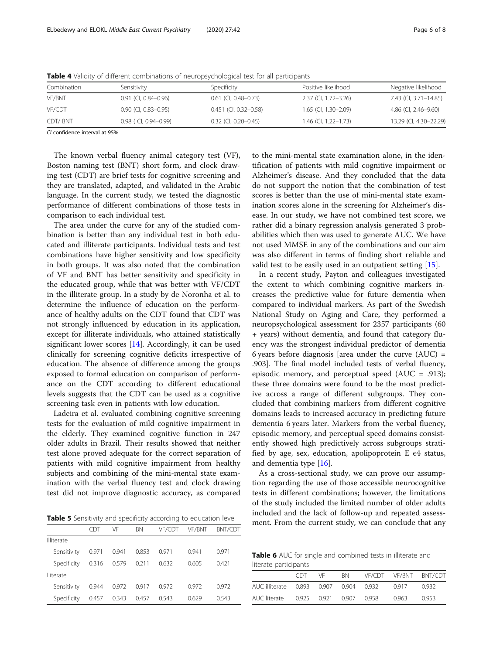| Combination    | Sensitivity                 | Specificity                  | Positive likelihood         | Negative likelihood    |  |  |  |
|----------------|-----------------------------|------------------------------|-----------------------------|------------------------|--|--|--|
| VF/BNT         | $0.91$ (CI, $0.84 - 0.96$ ) | $0.61$ (CI, 0.48-0.73)       | 2.37 (CI, 1.72-3.26)        | 7.43 (CI, 3.71-14.85)  |  |  |  |
| VF/CDT         | $0.90$ (CI, $0.83 - 0.95$ ) | $0.451$ (CI, $0.32 - 0.58$ ) | $1.65$ (Cl, $1.30 - 2.09$ ) | 4.86 (CI, 2.46-9.60)   |  |  |  |
| <b>CDT/BNT</b> | $0.98$ (CI, 0.94-0.99)      | $0.32$ (CI, 0.20-0.45)       | $1.46$ (Cl, $1.22 - 1.73$ ) | 13.29 (Cl, 4.30-22.29) |  |  |  |

<span id="page-5-0"></span>**Table 4** Validity of different combinations of neuropsychological test for all participants

CI confidence interval at 95%

The known verbal fluency animal category test (VF), Boston naming test (BNT) short form, and clock drawing test (CDT) are brief tests for cognitive screening and they are translated, adapted, and validated in the Arabic language. In the current study, we tested the diagnostic performance of different combinations of those tests in comparison to each individual test.

The area under the curve for any of the studied combination is better than any individual test in both educated and illiterate participants. Individual tests and test combinations have higher sensitivity and low specificity in both groups. It was also noted that the combination of VF and BNT has better sensitivity and specificity in the educated group, while that was better with VF/CDT in the illiterate group. In a study by de Noronha et al. to determine the influence of education on the performance of healthy adults on the CDT found that CDT was not strongly influenced by education in its application, except for illiterate individuals, who attained statistically significant lower scores [\[14](#page-7-0)]. Accordingly, it can be used clinically for screening cognitive deficits irrespective of education. The absence of difference among the groups exposed to formal education on comparison of performance on the CDT according to different educational levels suggests that the CDT can be used as a cognitive screening task even in patients with low education.

Ladeira et al. evaluated combining cognitive screening tests for the evaluation of mild cognitive impairment in the elderly. They examined cognitive function in 247 older adults in Brazil. Their results showed that neither test alone proved adequate for the correct separation of patients with mild cognitive impairment from healthy subjects and combining of the mini-mental state examination with the verbal fluency test and clock drawing test did not improve diagnostic accuracy, as compared

Table 5 Sensitivity and specificity according to education level

|                   | $(+)$ | VF    | <b>BN</b> | VF/CDT | VF/BNT | <b>BNT/CDT</b> |
|-------------------|-------|-------|-----------|--------|--------|----------------|
| <b>Illiterate</b> |       |       |           |        |        |                |
| Sensitivity       | 0.971 | 0.941 | 0.853     | 0.971  | 0.941  | 0.971          |
| Specificity       | 0.316 | 0.579 | 0.211     | 0.632  | 0.605  | 0.421          |
| l iterate         |       |       |           |        |        |                |
| Sensitivity       | 0.944 | 0.972 | 0.917     | 0.972  | 0.972  | 0.972          |
| Specificity       | 0.457 | 0.343 | 0.457     | 0.543  | 0.629  | 0.543          |
|                   |       |       |           |        |        |                |

to the mini-mental state examination alone, in the identification of patients with mild cognitive impairment or Alzheimer's disease. And they concluded that the data do not support the notion that the combination of test scores is better than the use of mini-mental state examination scores alone in the screening for Alzheimer's disease. In our study, we have not combined test score, we rather did a binary regression analysis generated 3 probabilities which then was used to generate AUC. We have not used MMSE in any of the combinations and our aim was also different in terms of finding short reliable and valid test to be easily used in an outpatient setting [[15](#page-7-0)].

In a recent study, Payton and colleagues investigated the extent to which combining cognitive markers increases the predictive value for future dementia when compared to individual markers. As part of the Swedish National Study on Aging and Care, they performed a neuropsychological assessment for 2357 participants (60 + years) without dementia, and found that category fluency was the strongest individual predictor of dementia 6 years before diagnosis [area under the curve  $(AUC)$  = .903]. The final model included tests of verbal fluency, episodic memory, and perceptual speed (AUC = .913); these three domains were found to be the most predictive across a range of different subgroups. They concluded that combining markers from different cognitive domains leads to increased accuracy in predicting future dementia 6 years later. Markers from the verbal fluency, episodic memory, and perceptual speed domains consistently showed high predictively across subgroups stratified by age, sex, education, apolipoprotein E  $\epsilon$ 4 status, and dementia type [[16](#page-7-0)].

As a cross-sectional study, we can prove our assumption regarding the use of those accessible neurocognitive tests in different combinations; however, the limitations of the study included the limited number of older adults included and the lack of follow-up and repeated assessment. From the current study, we can conclude that any

Table 6 AUC for single and combined tests in illiterate and literate participants

|  | CDT - | VF | BN 5 |  |       | VE/CDT VE/BNT BNT/CDT |  |
|--|-------|----|------|--|-------|-----------------------|--|
|  |       |    |      |  | 0917  | 0.932                 |  |
|  |       |    |      |  | 0.963 | 0953                  |  |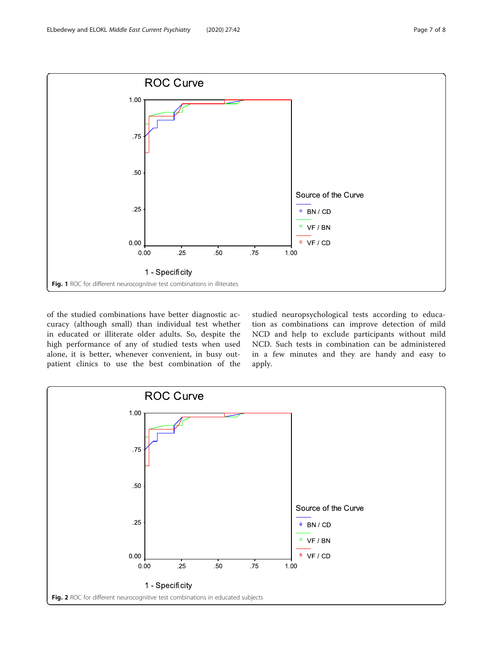<span id="page-6-0"></span>

of the studied combinations have better diagnostic accuracy (although small) than individual test whether in educated or illiterate older adults. So, despite the high performance of any of studied tests when used alone, it is better, whenever convenient, in busy outpatient clinics to use the best combination of the

studied neuropsychological tests according to education as combinations can improve detection of mild NCD and help to exclude participants without mild NCD. Such tests in combination can be administered in a few minutes and they are handy and easy to apply.